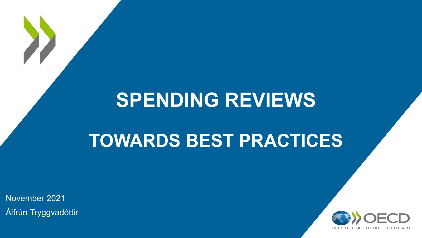# **SPENDING REVIEWS**

# **TOWARDS BEST PRACTICES**

November 2021 Álfrún Tryggvadóttir

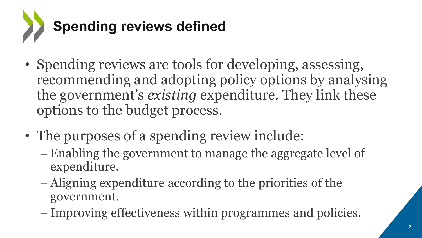

- Spending reviews are tools for developing, assessing, recommending and adopting policy options by analysing the government's *existing* expenditure. They link these options to the budget process.
- The purposes of a spending review include:
	- Enabling the government to manage the aggregate level of expenditure.
	- Aligning expenditure according to the priorities of the government.
	- Improving effectiveness within programmes and policies.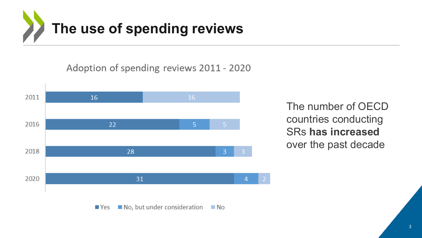

Adoption of spending reviews 2011 - 2020



The number of OECD countries conducting SRs **has increased** over the past decade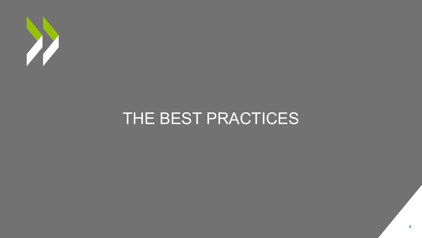

## THE BEST PRACTICES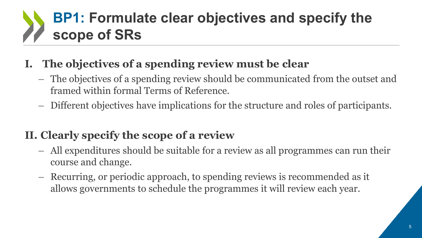# **BP1: Formulate clear objectives and specify the scope of SRs**

## **I. The objectives of a spending review must be clear**

- The objectives of a spending review should be communicated from the outset and framed within formal Terms of Reference.
- Different objectives have implications for the structure and roles of participants.

#### **II. Clearly specify the scope of a review**

- All expenditures should be suitable for a review as all programmes can run their course and change.
- Recurring, or periodic approach, to spending reviews is recommended as it allows governments to schedule the programmes it will review each year.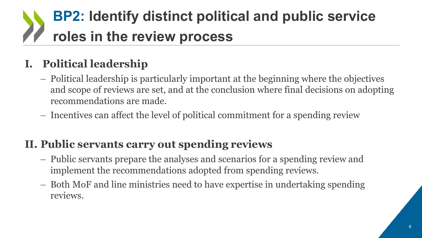# **BP2: Identify distinct political and public service roles in the review process**

## **I. Political leadership**

- Political leadership is particularly important at the beginning where the objectives and scope of reviews are set, and at the conclusion where final decisions on adopting recommendations are made.
- Incentives can affect the level of political commitment for a spending review

## **II. Public servants carry out spending reviews**

- Public servants prepare the analyses and scenarios for a spending review and implement the recommendations adopted from spending reviews.
- Both MoF and line ministries need to have expertise in undertaking spending reviews.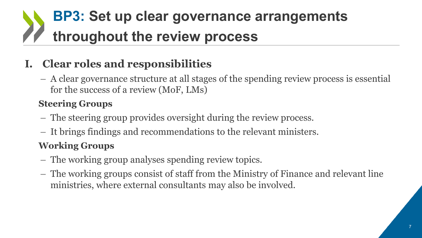# **BP3: Set up clear governance arrangements throughout the review process**

## **I. Clear roles and responsibilities**

– A clear governance structure at all stages of the spending review process is essential for the success of a review (MoF, LMs)

#### **Steering Groups**

- The steering group provides oversight during the review process.
- It brings findings and recommendations to the relevant ministers.

#### **Working Groups**

- The working group analyses spending review topics.
- The working groups consist of staff from the Ministry of Finance and relevant line ministries, where external consultants may also be involved.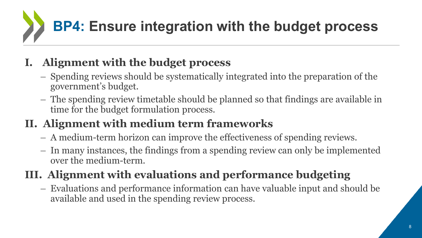# **BP4: Ensure integration with the budget process**

## **I. Alignment with the budget process**

- Spending reviews should be systematically integrated into the preparation of the government's budget.
- The spending review timetable should be planned so that findings are available in time for the budget formulation process.

## **II. Alignment with medium term frameworks**

- A medium-term horizon can improve the effectiveness of spending reviews.
- In many instances, the findings from a spending review can only be implemented over the medium-term.

## **III. Alignment with evaluations and performance budgeting**

– Evaluations and performance information can have valuable input and should be available and used in the spending review process.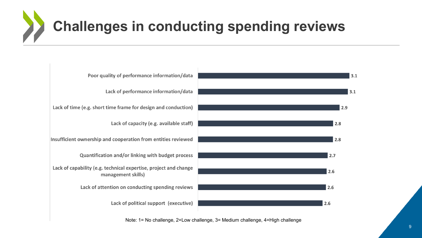# **Challenges in conducting spending reviews**



Note: 1= No challenge, 2=Low challenge, 3= Medium challenge, 4=High challenge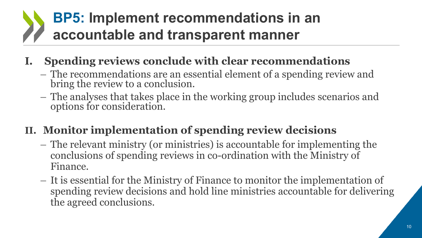## **BP5: Implement recommendations in an accountable and transparent manner**

#### **I. Spending reviews conclude with clear recommendations**

- The recommendations are an essential element of a spending review and bring the review to a conclusion.
- The analyses that takes place in the working group includes scenarios and options for consideration.

## **II. Monitor implementation of spending review decisions**

- The relevant ministry (or ministries) is accountable for implementing the conclusions of spending reviews in co-ordination with the Ministry of Finance.
- It is essential for the Ministry of Finance to monitor the implementation of spending review decisions and hold line ministries accountable for delivering the agreed conclusions.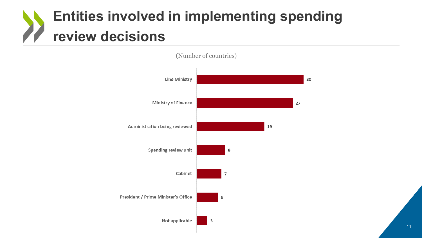# **Entities involved in implementing spending review decisions**



(Number of countries)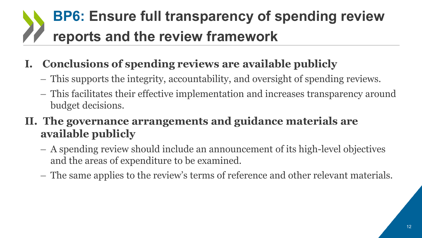# **BP6: Ensure full transparency of spending review reports and the review framework**

## **I. Conclusions of spending reviews are available publicly**

- This supports the integrity, accountability, and oversight of spending reviews.
- This facilitates their effective implementation and increases transparency around budget decisions.
- **II. The governance arrangements and guidance materials are available publicly** 
	- A spending review should include an announcement of its high-level objectives and the areas of expenditure to be examined.
	- The same applies to the review's terms of reference and other relevant materials.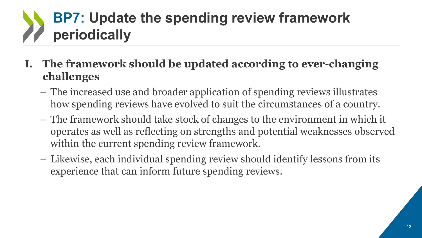# **BP7: Update the spending review framework periodically**

#### **I. The framework should be updated according to ever-changing challenges**

- The increased use and broader application of spending reviews illustrates how spending reviews have evolved to suit the circumstances of a country.
- The framework should take stock of changes to the environment in which it operates as well as reflecting on strengths and potential weaknesses observed within the current spending review framework.
- Likewise, each individual spending review should identify lessons from its experience that can inform future spending reviews.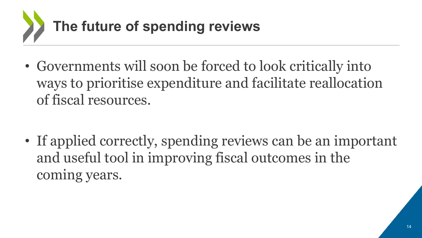

• Governments will soon be forced to look critically into ways to prioritise expenditure and facilitate reallocation of fiscal resources.

• If applied correctly, spending reviews can be an important and useful tool in improving fiscal outcomes in the coming years.